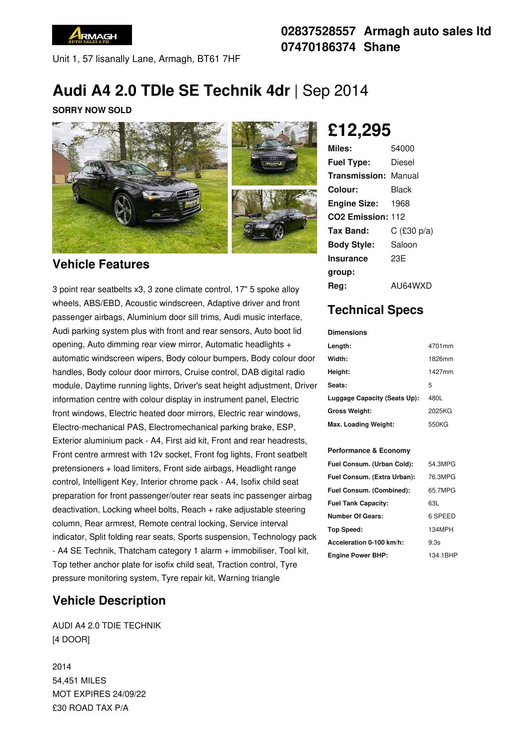

Unit 1, 57 lisanally Lane, Armagh, BT61 7HF

### **02837528557 Armagh auto sales ltd 07470186374 Shane**

# **Audi A4 2.0 TDIe SE Technik 4dr** | Sep 2014

#### **SORRY NOW SOLD**



#### **Vehicle Features**

3 point rear seatbelts x3, 3 zone climate control, 17" 5 spoke alloy wheels, ABS/EBD, Acoustic windscreen, Adaptive driver and front passenger airbags, Aluminium door sill trims, Audi music interface, Audi parking system plus with front and rear sensors, Auto boot lid opening, Auto dimming rear view mirror, Automatic headlights + automatic windscreen wipers, Body colour bumpers, Body colour door handles, Body colour door mirrors, Cruise control, DAB digital radio module, Daytime running lights, Driver's seat height adjustment, Driver information centre with colour display in instrument panel, Electric front windows, Electric heated door mirrors, Electric rear windows, Electro-mechanical PAS, Electromechanical parking brake, ESP, Exterior aluminium pack - A4, First aid kit, Front and rear headrests, Front centre armrest with 12v socket, Front fog lights, Front seatbelt pretensioners + load limiters, Front side airbags, Headlight range control, Intelligent Key, Interior chrome pack - A4, Isofix child seat preparation for front passenger/outer rear seats inc passenger airbag deactivation, Locking wheel bolts, Reach + rake adjustable steering column, Rear armrest, Remote central locking, Service interval indicator, Split folding rear seats, Sports suspension, Technology pack - A4 SE Technik, Thatcham category 1 alarm + immobiliser, Tool kit, Top tether anchor plate for isofix child seat, Traction control, Tyre pressure monitoring system, Tyre repair kit, Warning triangle

### **Vehicle Description**

AUDI A4 2.0 TDIE TECHNIK [4 DOOR]

2014 54,451 MILES MOT EXPIRES 24/09/22 £30 ROAD TAX P/A

# **£12,295**

| Miles:                        | 54000         |
|-------------------------------|---------------|
| <b>Fuel Type:</b>             | Diesel        |
| <b>Transmission: Manual</b>   |               |
| Colour:                       | Black         |
| <b>Engine Size:</b>           | 1968          |
| CO <sub>2</sub> Emission: 112 |               |
| Tax Band:                     | $C$ (£30 p/a) |
| <b>Body Style:</b>            | Saloon        |
| <b>Insurance</b>              | 23E           |
| group:                        |               |
| Rea:                          | AU64WXD       |

### **Technical Specs**

**Dimensions**

| Length:                      | 4701mm |
|------------------------------|--------|
| Width:                       | 1826mm |
| Height:                      | 1427mm |
| Seats:                       | 5      |
| Luggage Capacity (Seats Up): | 480L   |
| Gross Weight:                | 2025KG |
| Max. Loading Weight:         | 550KG  |

#### **Performance & Economy**

| Fuel Consum. (Urban Cold):  | 54.3MPG  |
|-----------------------------|----------|
| Fuel Consum. (Extra Urban): | 76.3MPG  |
| Fuel Consum. (Combined):    | 65.7MPG  |
| <b>Fuel Tank Capacity:</b>  | 63L      |
| <b>Number Of Gears:</b>     | 6 SPEED  |
| Top Speed:                  | 134MPH   |
| Acceleration 0-100 km/h:    | 9.3s     |
| <b>Engine Power BHP:</b>    | 134.1BHP |